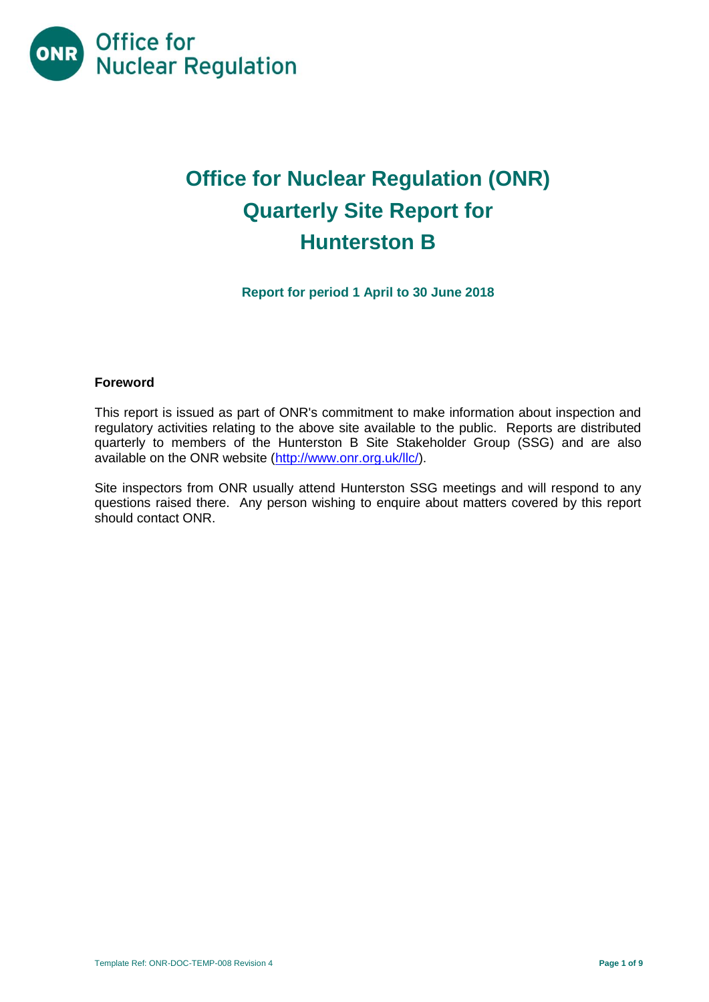

# **Office for Nuclear Regulation (ONR) Quarterly Site Report for Hunterston B**

**Report for period 1 April to 30 June 2018**

## **Foreword**

This report is issued as part of ONR's commitment to make information about inspection and regulatory activities relating to the above site available to the public. Reports are distributed quarterly to members of the Hunterston B Site Stakeholder Group (SSG) and are also available on the ONR website [\(http://www.onr.org.uk/llc/\)](http://www.onr.org.uk/llc/).

Site inspectors from ONR usually attend Hunterston SSG meetings and will respond to any questions raised there. Any person wishing to enquire about matters covered by this report should contact ONR.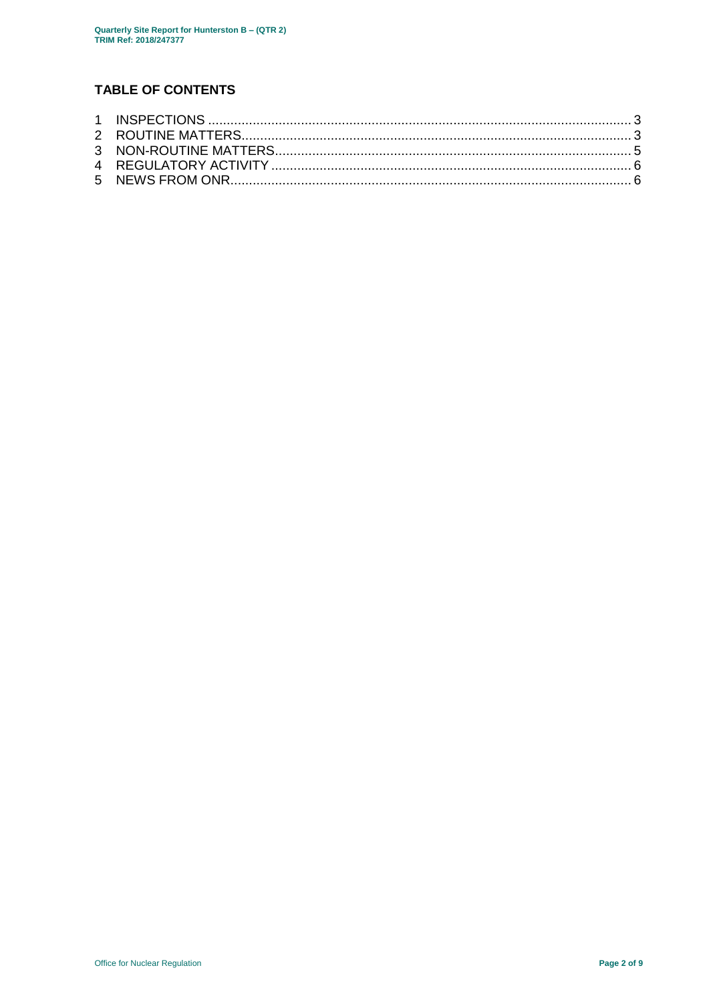## **TABLE OF CONTENTS**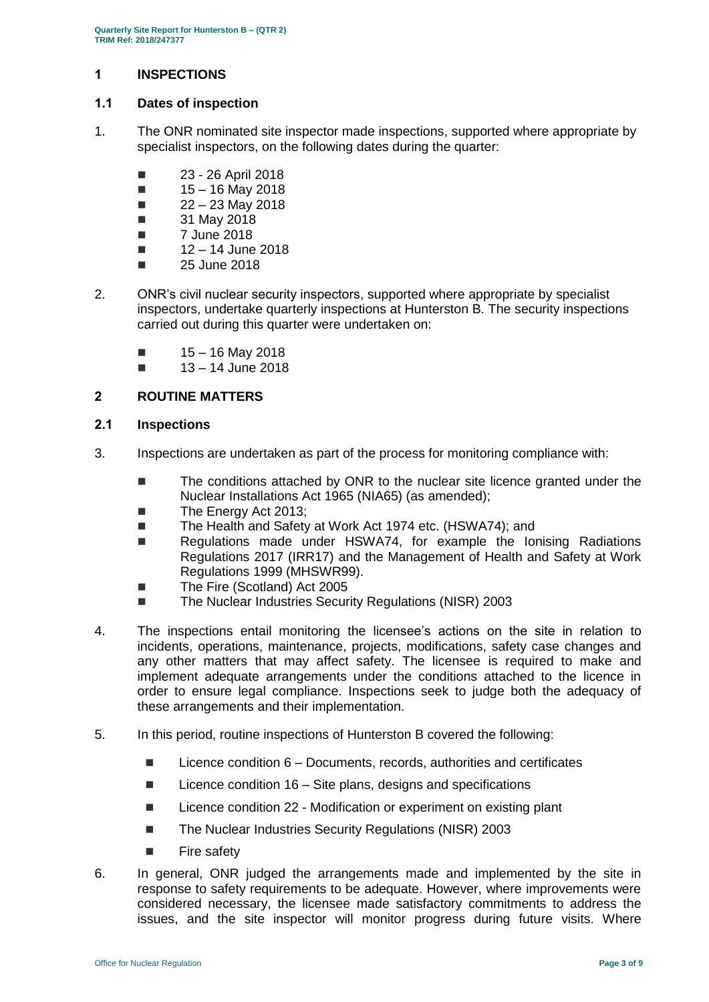## <span id="page-2-0"></span>**1 INSPECTIONS**

## **1.1 Dates of inspection**

- 1. The ONR nominated site inspector made inspections, supported where appropriate by specialist inspectors, on the following dates during the quarter:
	- **23 26 April 2018**
	- $15 16$  May 2018
	- $\blacksquare$  22 23 May 2018
	- **31 May 2018**
	- $\blacksquare$  7 June 2018
	- $12 14$  June 2018
	- $\Box$  25 June 2018
- 2. ONR's civil nuclear security inspectors, supported where appropriate by specialist inspectors, undertake quarterly inspections at Hunterston B. The security inspections carried out during this quarter were undertaken on:
	- $15 16$  May 2018
	- $13 14$  June 2018

## <span id="page-2-1"></span>**2 ROUTINE MATTERS**

## **2.1 Inspections**

- 3. Inspections are undertaken as part of the process for monitoring compliance with:
	- The conditions attached by ONR to the nuclear site licence granted under the Nuclear Installations Act 1965 (NIA65) (as amended);
	- The Energy Act 2013:
	- The Health and Safety at Work Act 1974 etc. (HSWA74); and
	- Regulations made under HSWA74, for example the Ionising Radiations Regulations 2017 (IRR17) and the Management of Health and Safety at Work Regulations 1999 (MHSWR99).
	- The Fire (Scotland) Act 2005
	- The Nuclear Industries Security Regulations (NISR) 2003
- 4. The inspections entail monitoring the licensee's actions on the site in relation to incidents, operations, maintenance, projects, modifications, safety case changes and any other matters that may affect safety. The licensee is required to make and implement adequate arrangements under the conditions attached to the licence in order to ensure legal compliance. Inspections seek to judge both the adequacy of these arrangements and their implementation.
- 5. In this period, routine inspections of Hunterston B covered the following:
	- $\blacksquare$  Licence condition  $6$  Documents, records, authorities and certificates
	- $\blacksquare$  Licence condition 16 Site plans, designs and specifications
	- Licence condition 22 Modification or experiment on existing plant
	- The Nuclear Industries Security Regulations (NISR) 2003
	- **Fire safety**
- 6. In general, ONR judged the arrangements made and implemented by the site in response to safety requirements to be adequate. However, where improvements were considered necessary, the licensee made satisfactory commitments to address the issues, and the site inspector will monitor progress during future visits. Where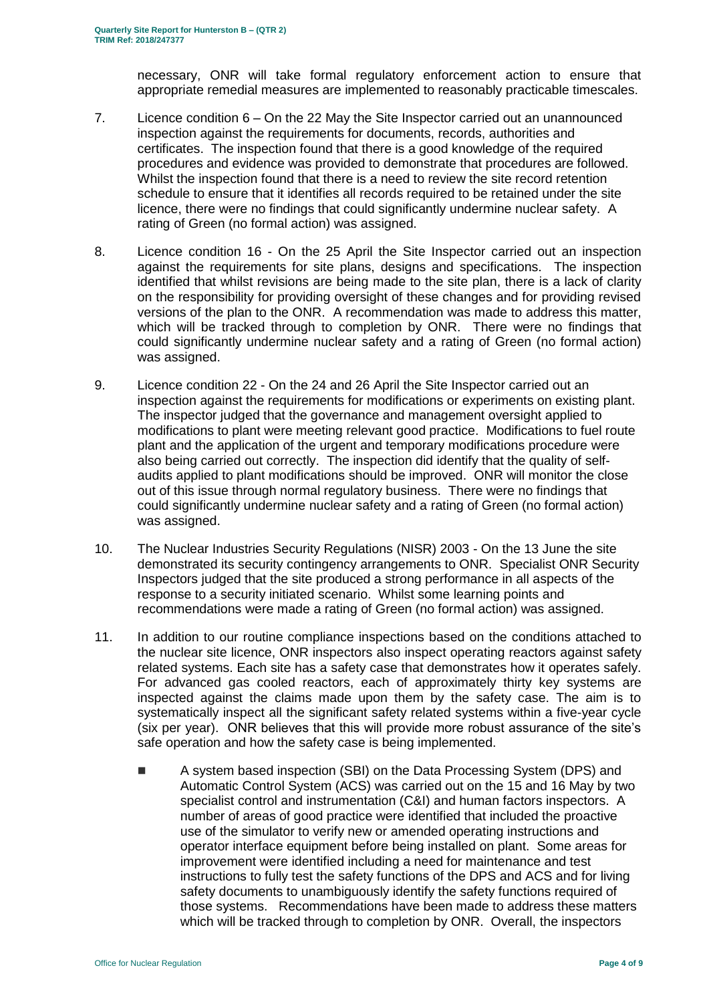necessary, ONR will take formal regulatory enforcement action to ensure that appropriate remedial measures are implemented to reasonably practicable timescales.

- 7. Licence condition 6 On the 22 May the Site Inspector carried out an unannounced inspection against the requirements for documents, records, authorities and certificates. The inspection found that there is a good knowledge of the required procedures and evidence was provided to demonstrate that procedures are followed. Whilst the inspection found that there is a need to review the site record retention schedule to ensure that it identifies all records required to be retained under the site licence, there were no findings that could significantly undermine nuclear safety. A rating of Green (no formal action) was assigned.
- 8. Licence condition 16 On the 25 April the Site Inspector carried out an inspection against the requirements for site plans, designs and specifications. The inspection identified that whilst revisions are being made to the site plan, there is a lack of clarity on the responsibility for providing oversight of these changes and for providing revised versions of the plan to the ONR. A recommendation was made to address this matter, which will be tracked through to completion by ONR. There were no findings that could significantly undermine nuclear safety and a rating of Green (no formal action) was assigned.
- 9. Licence condition 22 On the 24 and 26 April the Site Inspector carried out an inspection against the requirements for modifications or experiments on existing plant. The inspector judged that the governance and management oversight applied to modifications to plant were meeting relevant good practice. Modifications to fuel route plant and the application of the urgent and temporary modifications procedure were also being carried out correctly. The inspection did identify that the quality of selfaudits applied to plant modifications should be improved. ONR will monitor the close out of this issue through normal regulatory business. There were no findings that could significantly undermine nuclear safety and a rating of Green (no formal action) was assigned.
- 10. The Nuclear Industries Security Regulations (NISR) 2003 On the 13 June the site demonstrated its security contingency arrangements to ONR. Specialist ONR Security Inspectors judged that the site produced a strong performance in all aspects of the response to a security initiated scenario. Whilst some learning points and recommendations were made a rating of Green (no formal action) was assigned.
- 11. In addition to our routine compliance inspections based on the conditions attached to the nuclear site licence, ONR inspectors also inspect operating reactors against safety related systems. Each site has a safety case that demonstrates how it operates safely. For advanced gas cooled reactors, each of approximately thirty key systems are inspected against the claims made upon them by the safety case. The aim is to systematically inspect all the significant safety related systems within a five-year cycle (six per year). ONR believes that this will provide more robust assurance of the site's safe operation and how the safety case is being implemented.
	- A system based inspection (SBI) on the Data Processing System (DPS) and Automatic Control System (ACS) was carried out on the 15 and 16 May by two specialist control and instrumentation (C&I) and human factors inspectors. A number of areas of good practice were identified that included the proactive use of the simulator to verify new or amended operating instructions and operator interface equipment before being installed on plant. Some areas for improvement were identified including a need for maintenance and test instructions to fully test the safety functions of the DPS and ACS and for living safety documents to unambiguously identify the safety functions required of those systems. Recommendations have been made to address these matters which will be tracked through to completion by ONR. Overall, the inspectors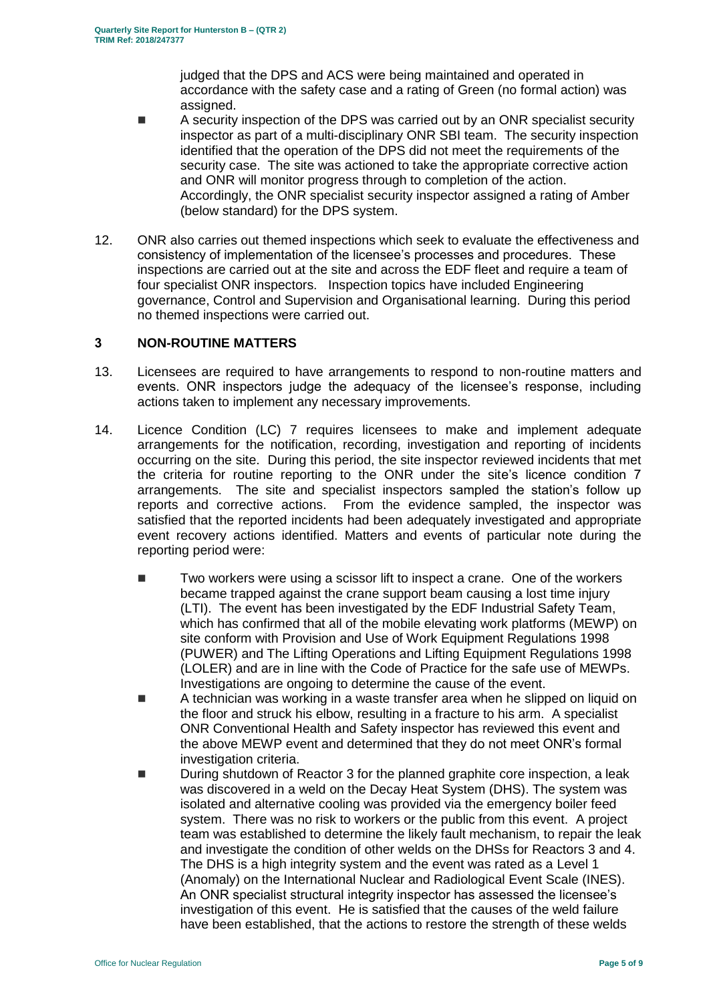judged that the DPS and ACS were being maintained and operated in accordance with the safety case and a rating of Green (no formal action) was assigned.

- A security inspection of the DPS was carried out by an ONR specialist security inspector as part of a multi-disciplinary ONR SBI team. The security inspection identified that the operation of the DPS did not meet the requirements of the security case. The site was actioned to take the appropriate corrective action and ONR will monitor progress through to completion of the action. Accordingly, the ONR specialist security inspector assigned a rating of Amber (below standard) for the DPS system.
- 12. ONR also carries out themed inspections which seek to evaluate the effectiveness and consistency of implementation of the licensee's processes and procedures. These inspections are carried out at the site and across the EDF fleet and require a team of four specialist ONR inspectors. Inspection topics have included Engineering governance, Control and Supervision and Organisational learning. During this period no themed inspections were carried out.

## <span id="page-4-0"></span>**3 NON-ROUTINE MATTERS**

- 13. Licensees are required to have arrangements to respond to non-routine matters and events. ONR inspectors judge the adequacy of the licensee's response, including actions taken to implement any necessary improvements.
- 14. Licence Condition (LC) 7 requires licensees to make and implement adequate arrangements for the notification, recording, investigation and reporting of incidents occurring on the site. During this period, the site inspector reviewed incidents that met the criteria for routine reporting to the ONR under the site's licence condition 7 arrangements. The site and specialist inspectors sampled the station's follow up reports and corrective actions. From the evidence sampled, the inspector was satisfied that the reported incidents had been adequately investigated and appropriate event recovery actions identified. Matters and events of particular note during the reporting period were:
	- Two workers were using a scissor lift to inspect a crane. One of the workers became trapped against the crane support beam causing a lost time injury (LTI). The event has been investigated by the EDF Industrial Safety Team, which has confirmed that all of the mobile elevating work platforms (MEWP) on site conform with Provision and Use of Work Equipment Regulations 1998 (PUWER) and The Lifting Operations and Lifting Equipment Regulations 1998 (LOLER) and are in line with the Code of Practice for the safe use of MEWPs. Investigations are ongoing to determine the cause of the event.
	- A technician was working in a waste transfer area when he slipped on liquid on the floor and struck his elbow, resulting in a fracture to his arm. A specialist ONR Conventional Health and Safety inspector has reviewed this event and the above MEWP event and determined that they do not meet ONR's formal investigation criteria.
	- During shutdown of Reactor 3 for the planned graphite core inspection, a leak was discovered in a weld on the Decay Heat System (DHS). The system was isolated and alternative cooling was provided via the emergency boiler feed system. There was no risk to workers or the public from this event. A project team was established to determine the likely fault mechanism, to repair the leak and investigate the condition of other welds on the DHSs for Reactors 3 and 4. The DHS is a high integrity system and the event was rated as a Level 1 (Anomaly) on the International Nuclear and Radiological Event Scale (INES). An ONR specialist structural integrity inspector has assessed the licensee's investigation of this event. He is satisfied that the causes of the weld failure have been established, that the actions to restore the strength of these welds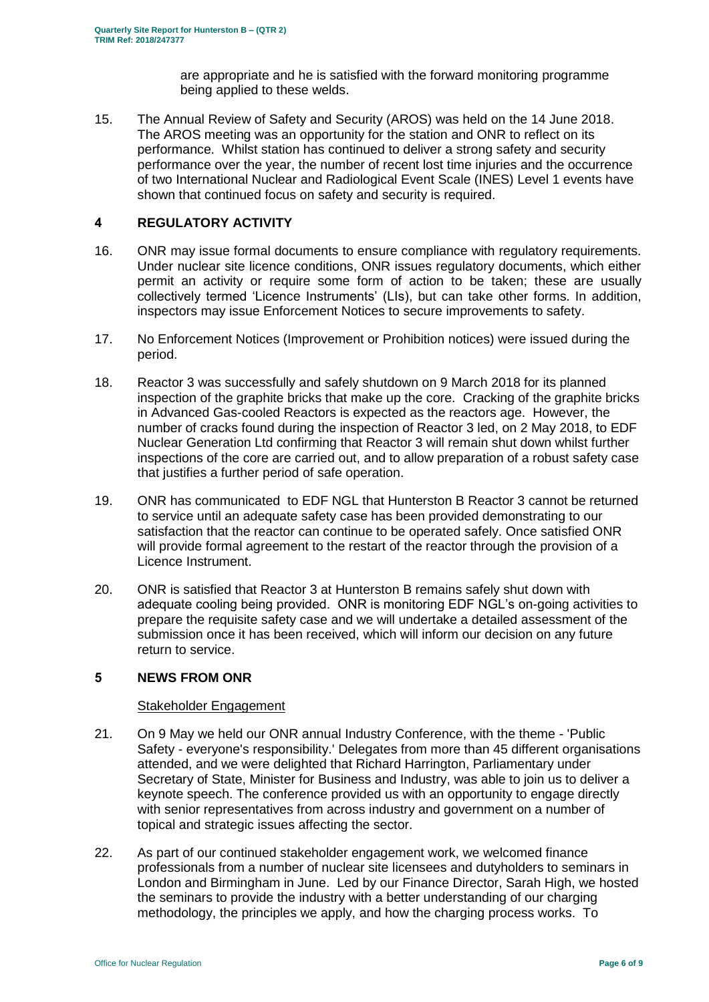are appropriate and he is satisfied with the forward monitoring programme being applied to these welds.

15. The Annual Review of Safety and Security (AROS) was held on the 14 June 2018. The AROS meeting was an opportunity for the station and ONR to reflect on its performance. Whilst station has continued to deliver a strong safety and security performance over the year, the number of recent lost time injuries and the occurrence of two International Nuclear and Radiological Event Scale (INES) Level 1 events have shown that continued focus on safety and security is required.

## <span id="page-5-0"></span>**4 REGULATORY ACTIVITY**

- 16. ONR may issue formal documents to ensure compliance with regulatory requirements. Under nuclear site licence conditions, ONR issues regulatory documents, which either permit an activity or require some form of action to be taken; these are usually collectively termed 'Licence Instruments' (LIs), but can take other forms. In addition, inspectors may issue Enforcement Notices to secure improvements to safety.
- 17. No Enforcement Notices (Improvement or Prohibition notices) were issued during the period.
- 18. Reactor 3 was successfully and safely shutdown on 9 March 2018 for its planned inspection of the graphite bricks that make up the core. Cracking of the graphite bricks in Advanced Gas-cooled Reactors is expected as the reactors age. However, the number of cracks found during the inspection of Reactor 3 led, on 2 May 2018, to EDF Nuclear Generation Ltd confirming that Reactor 3 will remain shut down whilst further inspections of the core are carried out, and to allow preparation of a robust safety case that justifies a further period of safe operation.
- 19. ONR has communicated to EDF NGL that Hunterston B Reactor 3 cannot be returned to service until an adequate safety case has been provided demonstrating to our satisfaction that the reactor can continue to be operated safely. Once satisfied ONR will provide formal agreement to the restart of the reactor through the provision of a Licence Instrument.
- 20. ONR is satisfied that Reactor 3 at Hunterston B remains safely shut down with adequate cooling being provided. ONR is monitoring EDF NGL's on-going activities to prepare the requisite safety case and we will undertake a detailed assessment of the submission once it has been received, which will inform our decision on any future return to service.

#### <span id="page-5-1"></span>**5 NEWS FROM ONR**

#### Stakeholder Engagement

- 21. On 9 May we held our ONR annual Industry Conference, with the theme 'Public Safety - everyone's responsibility.' Delegates from more than 45 different organisations attended, and we were delighted that Richard Harrington, Parliamentary under Secretary of State, Minister for Business and Industry, was able to join us to deliver a keynote speech. The conference provided us with an opportunity to engage directly with senior representatives from across industry and government on a number of topical and strategic issues affecting the sector.
- 22. As part of our continued stakeholder engagement work, we welcomed finance professionals from a number of nuclear site licensees and dutyholders to seminars in London and Birmingham in June. Led by our Finance Director, Sarah High, we hosted the seminars to provide the industry with a better understanding of our charging methodology, the principles we apply, and how the charging process works. To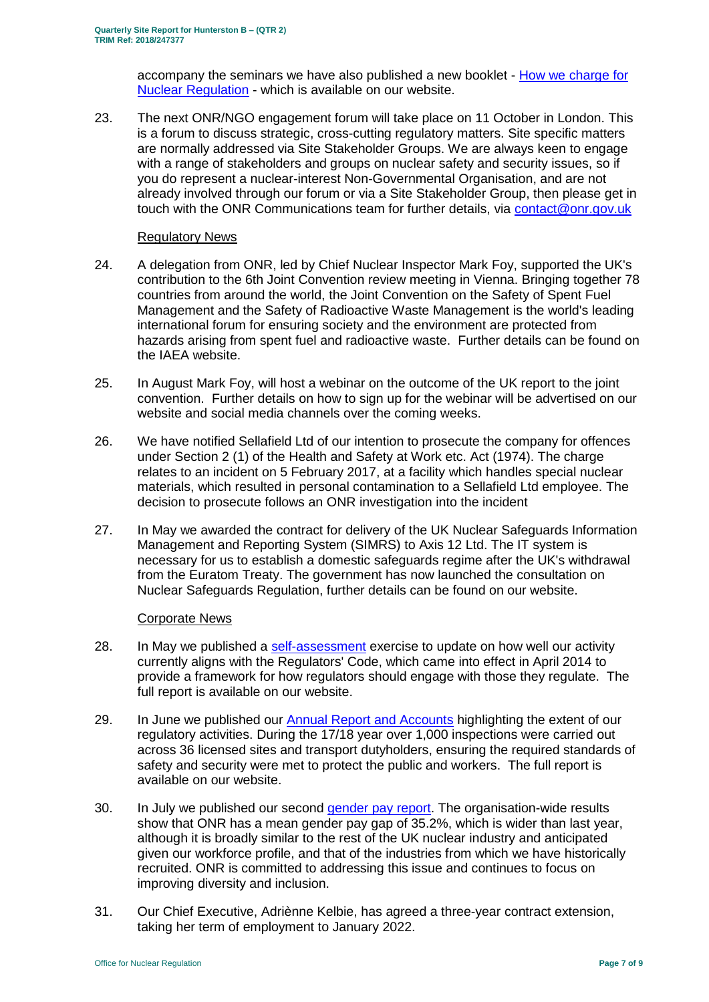accompany the seminars we have also published a new booklet - [How we charge for](http://www.onr.org.uk/documents/2018/how-we-charge-for-nuclear-regulation.pdf)  [Nuclear Regulation](http://www.onr.org.uk/documents/2018/how-we-charge-for-nuclear-regulation.pdf) - which is available on our website.

23. The next ONR/NGO engagement forum will take place on 11 October in London. This is a forum to discuss strategic, cross-cutting regulatory matters. Site specific matters are normally addressed via Site Stakeholder Groups. We are always keen to engage with a range of stakeholders and groups on nuclear safety and security issues, so if you do represent a nuclear-interest Non-Governmental Organisation, and are not already involved through our forum or via a Site Stakeholder Group, then please get in touch with the ONR Communications team for further details, via [contact@onr.gov.uk](mailto:contact@onr.gov.uk)

### Regulatory News

- 24. A delegation from ONR, led by Chief Nuclear Inspector Mark Foy, supported the UK's contribution to the 6th Joint Convention review meeting in Vienna. Bringing together 78 countries from around the world, the Joint Convention on the Safety of Spent Fuel Management and the Safety of Radioactive Waste Management is the world's leading international forum for ensuring society and the environment are protected from hazards arising from spent fuel and radioactive waste. Further details can be found on the IAEA website.
- 25. In August Mark Foy, will host a webinar on the outcome of the UK report to the joint convention. Further details on how to sign up for the webinar will be advertised on our website and social media channels over the coming weeks.
- 26. We have notified Sellafield Ltd of our intention to prosecute the company for offences under Section 2 (1) of the Health and Safety at Work etc. Act (1974). The charge relates to an incident on 5 February 2017, at a facility which handles special nuclear materials, which resulted in personal contamination to a Sellafield Ltd employee. The decision to prosecute follows an ONR investigation into the incident
- 27. In May we awarded the contract for delivery of the UK Nuclear Safeguards Information Management and Reporting System (SIMRS) to Axis 12 Ltd. The IT system is necessary for us to establish a domestic safeguards regime after the UK's withdrawal from the Euratom Treaty. The government has now launched the consultation on Nuclear Safeguards Regulation, further details can be found on our website.

#### Corporate News

- 28. In May we published a [self-assessment](http://www.onr.org.uk/documents/2018/onr-regulators-code-self-assessment%20report-2018.pdf) exercise to update on how well our activity currently aligns with the Regulators' Code, which came into effect in April 2014 to provide a framework for how regulators should engage with those they regulate. The full report is available on our website.
- 29. In June we published our [Annual Report and Accounts](http://www.onr.org.uk/documents/2018/onr-annual-report-and-accounts-2017-18.pdf) highlighting the extent of our regulatory activities. During the 17/18 year over 1,000 inspections were carried out across 36 licensed sites and transport dutyholders, ensuring the required standards of safety and security were met to protect the public and workers. The full report is available on our website.
- 30. In July we published our second [gender pay report.](http://www.onr.org.uk/documents/2018/onr-gender-pay-report-2018.pdf) The organisation-wide results show that ONR has a mean gender pay gap of 35.2%, which is wider than last year, although it is broadly similar to the rest of the UK nuclear industry and anticipated given our workforce profile, and that of the industries from which we have historically recruited. ONR is committed to addressing this issue and continues to focus on improving diversity and inclusion.
- 31. Our Chief Executive, Adriènne Kelbie, has agreed a three-year contract extension, taking her term of employment to January 2022.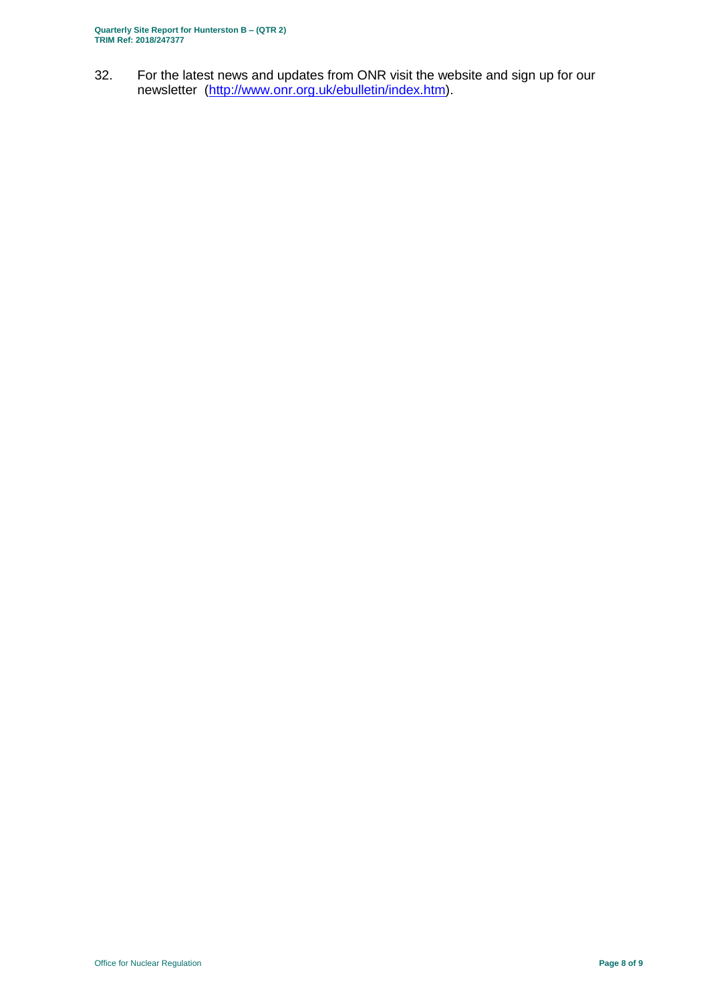**Quarterly Site Report for Hunterston B – (QTR 2) TRIM Ref: 2018/247377**

32. For the latest news and updates from ONR visit the website and sign up for our newsletter [\(http://www.onr.org.uk/ebulletin/index.htm\)](http://www.onr.org.uk/ebulletin/index.htm).